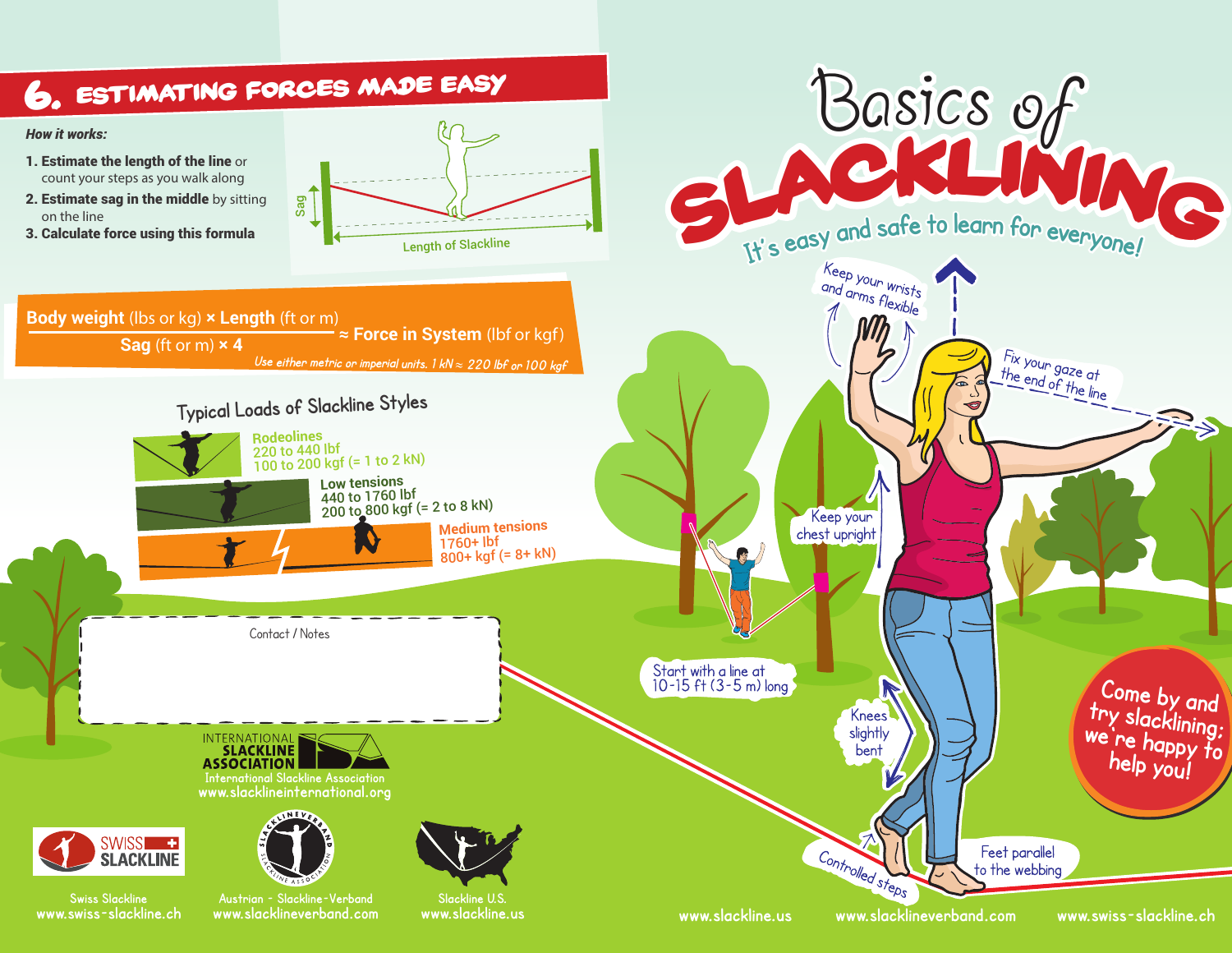